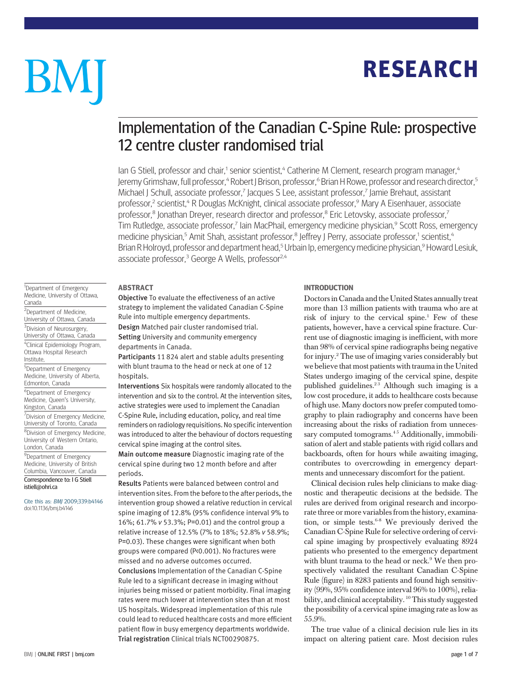## RESEARCH

# BM

### Implementation of the Canadian C-Spine Rule: prospective 12 centre cluster randomised trial

lan G Stiell, professor and chair,<sup>1</sup> senior scientist,<sup>4</sup> Catherine M Clement, research program manager,<sup>4</sup> Jeremy Grimshaw, full professor, <sup>4</sup> Robert J Brison, professor, <sup>6</sup> Brian H Rowe, professor and research director, <sup>5</sup> Michael J Schull, associate professor,<sup>7</sup> Jacques S Lee, assistant professor,<sup>7</sup> Jamie Brehaut, assistant professor,<sup>2</sup> scientist,<sup>4</sup> R Douglas McKnight, clinical associate professor,<sup>9</sup> Mary A Eisenhauer, associate professor,<sup>8</sup> Jonathan Dreyer, research director and professor,<sup>8</sup> Eric Letovsky, associate professor.<sup>7</sup> Tim Rutledge, associate professor,<sup>7</sup> Iain MacPhail, emergency medicine physician,<sup>9</sup> Scott Ross, emergency medicine physician,<sup>5</sup> Amit Shah, assistant professor,<sup>8</sup> Jeffrey J Perry, associate professor,<sup>1</sup> scientist,<sup>4</sup> Brian R Holroyd, professor and department head,<sup>5</sup> Urbain Ip, emergency medicine physician,<sup>9</sup> Howard Lesiuk, associate professor,<sup>3</sup> George A Wells, professor<sup>2,4</sup>

#### ABSTRACT

Objective To evaluate the effectiveness of an active strategy to implement the validated Canadian C-Spine Rule into multiple emergency departments.

Design Matched pair cluster randomised trial. Setting University and community emergency departments in Canada.

Participants 11 824 alert and stable adults presenting with blunt trauma to the head or neck at one of 12 hospitals.

Interventions Six hospitals were randomly allocated to the intervention and six to the control. At the intervention sites, active strategies were used to implement the Canadian C-Spine Rule, including education, policy, and real time reminders on radiology requisitions. No specific intervention was introduced to alter the behaviour of doctors requesting cervical spine imaging at the control sites.

Main outcome measure Diagnostic imaging rate of the cervical spine during two 12 month before and after periods.

Results Patients were balanced between control and intervention sites. From the before to the after periods, the intervention group showed a relative reduction in cervical spine imaging of 12.8% (95% confidence interval 9% to 16%; 61.7% v 53.3%; P=0.01) and the control group a relative increase of 12.5% (7% to 18%; 52.8% v 58.9%; P=0.03). These changes were significant when both groups were compared (P<0.001). No fractures were missed and no adverse outcomes occurred. Conclusions Implementation of the Canadian C-Spine Rule led to a significant decrease in imaging without injuries being missed or patient morbidity. Final imaging rates were much lower at intervention sites than at most US hospitals. Widespread implementation of this rule could lead to reduced healthcare costs and more efficient patient flow in busy emergency departments worldwide. Trial registration Clinical trials NCT00290875.

#### INTRODUCTION

Doctors in Canada and the United States annually treat more than 13 million patients with trauma who are at risk of injury to the cervical spine.<sup>1</sup> Few of these patients, however, have a cervical spine fracture. Current use of diagnostic imaging is inefficient, with more than 98% of cervical spine radiographs being negative for injury.2 The use of imaging varies considerably but we believe that most patients with trauma in the United States undergo imaging of the cervical spine, despite published guidelines.<sup>23</sup> Although such imaging is a low cost procedure, it adds to healthcare costs because of high use. Many doctors now prefer computed tomography to plain radiography and concerns have been increasing about the risks of radiation from unnecessary computed tomograms.<sup>45</sup> Additionally, immobilisation of alert and stable patients with rigid collars and backboards, often for hours while awaiting imaging, contributes to overcrowding in emergency departments and unnecessary discomfort for the patient.

Clinical decision rules help clinicians to make diagnostic and therapeutic decisions at the bedside. The rules are derived from original research and incorporate three or more variables from the history, examination, or simple tests. $6-8$  We previously derived the Canadian C-Spine Rule for selective ordering of cervical spine imaging by prospectively evaluating 8924 patients who presented to the emergency department with blunt trauma to the head or neck.<sup>9</sup> We then prospectively validated the resultant Canadian C-Spine Rule (figure) in 8283 patients and found high sensitivity (99%, 95% confidence interval 96% to 100%), reliability, and clinical acceptability. <sup>10</sup> This study suggested the possibility of a cervical spine imaging rate as low as 55.9%.

The true value of a clinical decision rule lies in its impact on altering patient care. Most decision rules

<sup>1</sup>Department of Emergency Medicine, University of Ottawa, Canada

2 Department of Medicine, University of Ottawa, Canada <sup>3</sup>Division of Neurosurgery, University of Ottawa, Canada 4 Clinical Epidemiology Program, Ottawa Hospital Research Institute,

5 Department of Emergency Medicine, University of Alberta, Edmonton, Canada

6 Department of Emergency Medicine, Queen's University, Kingston, Canada

<sup>7</sup> Division of Emergency Medicine, University of Toronto, Canada

<sup>8</sup>Division of Emergency Medicine, University of Western Ontario, London, Canada

<sup>9</sup>Department of Emergency Medicine, University of British Columbia, Vancouver, Canada Correspondence to: I G Stiell istiell@ohri.ca

Cite this as: BMJ 2009;339:b4146 doi:10.1136/bmj.b4146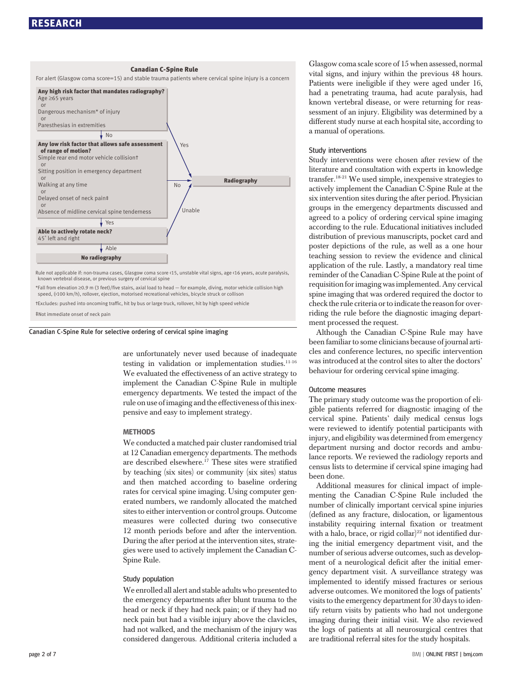#### RESEARCH



\*Fall from elevation ≥0.9 m (3 feet)/five stairs, axial load to head — for example, diving, motor vehicle collision high speed, (>100 km/h), rollover, ejection, motorised recreational vehicles, bicycle struck or collison

†Excludes: pushed into oncoming traffic, hit by bus or large truck, rollover, hit by high speed vehicle

‡Not immediate onset of neck pain

Canadian C-Spine Rule for selective ordering of cervical spine imaging

are unfortunately never used because of inadequate testing in validation or implementation studies.<sup>11-16</sup> We evaluated the effectiveness of an active strategy to implement the Canadian C-Spine Rule in multiple emergency departments. We tested the impact of the rule on use of imaging and the effectiveness of this inexpensive and easy to implement strategy.

#### **METHODS**

We conducted a matched pair cluster randomised trial at 12 Canadian emergency departments. The methods are described elsewhere.<sup>17</sup> These sites were stratified by teaching (six sites) or community (six sites) status and then matched according to baseline ordering rates for cervical spine imaging. Using computer generated numbers, we randomly allocated the matched sites to either intervention or control groups. Outcome measures were collected during two consecutive 12 month periods before and after the intervention. During the after period at the intervention sites, strategies were used to actively implement the Canadian C-Spine Rule.

#### Study population

We enrolled all alert and stable adults who presented to the emergency departments after blunt trauma to the head or neck if they had neck pain; or if they had no neck pain but had a visible injury above the clavicles, had not walked, and the mechanism of the injury was considered dangerous. Additional criteria included a Glasgow coma scale score of 15 when assessed, normal vital signs, and injury within the previous 48 hours. Patients were ineligible if they were aged under 16, had a penetrating trauma, had acute paralysis, had known vertebral disease, or were returning for reassessment of an injury. Eligibility was determined by a different study nurse at each hospital site, according to a manual of operations.

#### Study interventions

Study interventions were chosen after review of the literature and consultation with experts in knowledge transfer.18-21 We used simple, inexpensive strategies to actively implement the Canadian C-Spine Rule at the six intervention sites during the after period. Physician groups in the emergency departments discussed and agreed to a policy of ordering cervical spine imaging according to the rule. Educational initiatives included distribution of previous manuscripts, pocket card and poster depictions of the rule, as well as a one hour teaching session to review the evidence and clinical application of the rule. Lastly, a mandatory real time reminder of the Canadian C-Spine Rule at the point of requisition for imaging was implemented. Any cervical spine imaging that was ordered required the doctor to check the rule criteria or to indicate the reason for overriding the rule before the diagnostic imaging department processed the request.

Although the Canadian C-Spine Rule may have been familiar to some clinicians because of journal articles and conference lectures, no specific intervention was introduced at the control sites to alter the doctors' behaviour for ordering cervical spine imaging.

#### Outcome measures

The primary study outcome was the proportion of eligible patients referred for diagnostic imaging of the cervical spine. Patients' daily medical census logs were reviewed to identify potential participants with injury, and eligibility was determined from emergency department nursing and doctor records and ambulance reports. We reviewed the radiology reports and census lists to determine if cervical spine imaging had been done.

Additional measures for clinical impact of implementing the Canadian C-Spine Rule included the number of clinically important cervical spine injuries (defined as any fracture, dislocation, or ligamentous instability requiring internal fixation or treatment with a halo, brace, or rigid collar)<sup>22</sup> not identified during the initial emergency department visit, and the number of serious adverse outcomes, such as development of a neurological deficit after the initial emergency department visit. A surveillance strategy was implemented to identify missed fractures or serious adverse outcomes. We monitored the logs of patients' visits to the emergency department for 30 days to identify return visits by patients who had not undergone imaging during their initial visit. We also reviewed the logs of patients at all neurosurgical centres that are traditional referral sites for the study hospitals.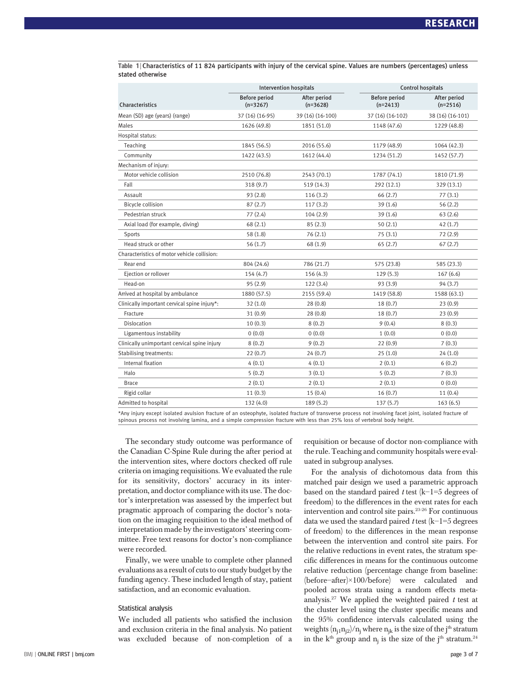|                                              |                                    | <b>Intervention hospitals</b> |                                    | <b>Control hospitals</b>   |  |
|----------------------------------------------|------------------------------------|-------------------------------|------------------------------------|----------------------------|--|
| Characteristics                              | <b>Before period</b><br>$(n=3267)$ | After period<br>$(n=3628)$    | <b>Before period</b><br>$(n=2413)$ | After period<br>$(n=2516)$ |  |
| Mean (SD) age (years) (range)                | 37 (16) (16-95)                    | 39 (16) (16-100)              | 37 (16) (16-102)                   | 38 (16) (16-101)           |  |
| Males                                        | 1626 (49.8)                        | 1851 (51.0)                   | 1148 (47.6)                        | 1229 (48.8)                |  |
| Hospital status:                             |                                    |                               |                                    |                            |  |
| Teaching                                     | 1845 (56.5)                        | 2016 (55.6)                   | 1179 (48.9)                        | 1064 (42.3)                |  |
| Community                                    | 1422 (43.5)                        | 1612 (44.4)                   | 1234 (51.2)                        | 1452 (57.7)                |  |
| Mechanism of injury:                         |                                    |                               |                                    |                            |  |
| Motor vehicle collision                      | 2510 (76.8)                        | 2543 (70.1)                   | 1787 (74.1)                        | 1810 (71.9)                |  |
| Fall                                         | 318 (9.7)                          | 519 (14.3)                    | 292 (12.1)                         | 329 (13.1)                 |  |
| Assault                                      | 93(2.8)                            | 116(3.2)                      | 66(2.7)                            | 77(3.1)                    |  |
| Bicycle collision                            | 87(2.7)                            | 117(3.2)                      | 39(1.6)                            | 56(2.2)                    |  |
| Pedestrian struck                            | 77(2.4)                            | 104(2.9)                      | 39 (1.6)                           | 63(2.6)                    |  |
| Axial load (for example, diving)             | 68(2.1)                            | 85(2.3)                       | 50(2.1)                            | 42(1.7)                    |  |
| Sports                                       | 58(1.8)                            | 76(2.1)                       | 75(3.1)                            | 72(2.9)                    |  |
| Head struck or other                         | 56(1.7)                            | 68(1.9)                       | 65(2.7)                            | 67(2.7)                    |  |
| Characteristics of motor vehicle collision:  |                                    |                               |                                    |                            |  |
| Rear end                                     | 804 (24.6)                         | 786 (21.7)                    | 575 (23.8)                         | 585 (23.3)                 |  |
| Ejection or rollover                         | 154(4.7)                           | 156(4.3)                      | 129(5.3)                           | 167(6.6)                   |  |
| Head-on                                      | 95(2.9)                            | 122(3.4)                      | 93 (3.9)                           | 94 (3.7)                   |  |
| Arrived at hospital by ambulance             | 1880 (57.5)                        | 2155 (59.4)                   | 1419 (58.8)                        | 1588 (63.1)                |  |
| Clinically important cervical spine injury*: | 32(1.0)                            | 28(0.8)                       | 18(0.7)                            | 23(0.9)                    |  |
| Fracture                                     | 31(0.9)                            | 28(0.8)                       | 18(0.7)                            | 23(0.9)                    |  |
| <b>Dislocation</b>                           | 10(0.3)                            | 8(0.2)                        | 9(0.4)                             | 8(0.3)                     |  |
| Ligamentous instability                      | 0(0.0)                             | 0(0.0)                        | 1(0.0)                             | 0(0.0)                     |  |
| Clinically unimportant cervical spine injury | 8(0.2)                             | 9(0.2)                        | 22(0.9)                            | 7(0.3)                     |  |
| <b>Stabilising treatments:</b>               | 22(0.7)                            | 24(0.7)                       | 25(1.0)                            | 24(1.0)                    |  |
| Internal fixation                            | 4(0.1)                             | 4(0.1)                        | 2(0.1)                             | 6(0.2)                     |  |
| Halo                                         | 5(0.2)                             | 3(0.1)                        | 5(0.2)                             | 7(0.3)                     |  |
| <b>Brace</b>                                 | 2(0.1)                             | 2(0.1)                        | 2(0.1)                             | 0(0.0)                     |  |
| Rigid collar                                 | 11(0.3)                            | 15(0.4)                       | 16(0.7)                            | 11(0.4)                    |  |
| Admitted to hospital                         | 132 (4.0)                          | 189 (5.2)                     | 137(5.7)                           | 163(6.5)                   |  |

Table 1 | Characteristics of 11 824 participants with injury of the cervical spine. Values are numbers (percentages) unless stated otherwise

\*Any injury except isolated avulsion fracture of an osteophyte, isolated fracture of transverse process not involving facet joint, isolated fracture of spinous process not involving lamina, and a simple compression fracture with less than 25% loss of vertebral body height.

The secondary study outcome was performance of the Canadian C-Spine Rule during the after period at the intervention sites, where doctors checked off rule criteria on imaging requisitions. We evaluated the rule for its sensitivity, doctors' accuracy in its interpretation, and doctor compliance with its use. The doctor's interpretation was assessed by the imperfect but pragmatic approach of comparing the doctor's notation on the imaging requisition to the ideal method of interpretation made by the investigators'steering committee. Free text reasons for doctor's non-compliance were recorded.

Finally, we were unable to complete other planned evaluations as a result of cuts to our study budget by the funding agency. These included length of stay, patient satisfaction, and an economic evaluation.

#### Statistical analysis

We included all patients who satisfied the inclusion and exclusion criteria in the final analysis. No patient was excluded because of non-completion of a requisition or because of doctor non-compliance with the rule. Teaching and community hospitals were evaluated in subgroup analyses.

For the analysis of dichotomous data from this matched pair design we used a parametric approach based on the standard paired t test (k−1=5 degrees of freedom) to the differences in the event rates for each intervention and control site pairs.23-26 For continuous data we used the standard paired t test (k−1=5 degrees of freedom) to the differences in the mean response between the intervention and control site pairs. For the relative reductions in event rates, the stratum specific differences in means for the continuous outcome relative reduction (percentage change from baseline: (before−after)×100/before) were calculated and pooled across strata using a random effects metaanalysis.<sup>27</sup> We applied the weighted paired  $t$  test at the cluster level using the cluster specific means and the 95% confidence intervals calculated using the weights  $(n_{i1}n_{i2})/n_i$  where  $n_{ik}$  is the size of the j<sup>th</sup> stratum in the k<sup>th</sup> group and  $n_i$  is the size of the j<sup>th</sup> stratum.<sup>24</sup>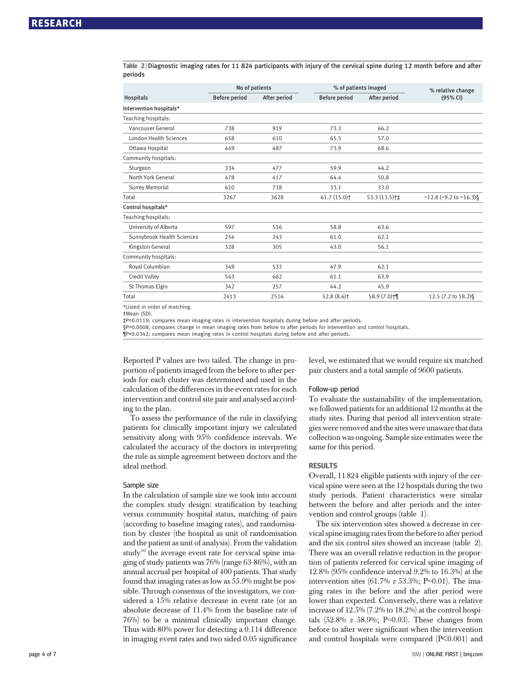Table 2 <sup>|</sup> Diagnostic imaging rates for 11 824 participants with injury of the cervical spine during 12 month before and after periods

|                               | No of patients       |              | % of patients imaged      |                          | % relative change           |  |
|-------------------------------|----------------------|--------------|---------------------------|--------------------------|-----------------------------|--|
| <b>Hospitals</b>              | <b>Before period</b> | After period | <b>Before period</b>      | After period             | (95% CI)                    |  |
| Intervention hospitals*       |                      |              |                           |                          |                             |  |
| Teaching hospitals:           |                      |              |                           |                          |                             |  |
| Vancouver General             | 738                  | 919          | 73.3                      | 66.2                     |                             |  |
| <b>London Health Sciences</b> | 658                  | 610          | 65.5                      | 57.0                     |                             |  |
| Ottawa Hospital               | 449                  | 487          | 73.9                      | 68.6                     |                             |  |
| Community hospitals:          |                      |              |                           |                          |                             |  |
| Sturgeon                      | 334                  | 477          | 59.9                      | 44.2                     |                             |  |
| North York General            | 478                  | 417          | 64.4                      | 50.8                     |                             |  |
| <b>Surrey Memorial</b>        | 610                  | 718          | 33.1                      | 33.0                     |                             |  |
| Total                         | 3267                 | 3628         | $61.7(15.0)$ <sup>+</sup> | 53.3 (13.5) <sup>†</sup> | $-12.8$ (-9.2 to $-16.3$ )§ |  |
| Control hospitals*            |                      |              |                           |                          |                             |  |
| Teaching hospitals:           |                      |              |                           |                          |                             |  |
| University of Alberta         | 597                  | 516          | 58.8                      | 63.6                     |                             |  |
| Sunnybrook Health Sciences    | 254                  | 243          | 61.0                      | 62.1                     |                             |  |
| Kingston General              | 328                  | 305          | 43.0                      | 56.1                     |                             |  |
| Community hospitals:          |                      |              |                           |                          |                             |  |
| Royal Columbian               | 349                  | 533          | 47.9                      | 62.1                     |                             |  |
| Credit Valley                 | 543                  | 662          | 61.1                      | 63.9                     |                             |  |
| St Thomas Elgin               | 342                  | 257          | 44.2                      | 45.9                     |                             |  |
| Total                         | 2413                 | 2516         | $52.8(8.6)$ <sup>+</sup>  | 58.9 (7.0) <sup>+</sup>  | 12.5 (7.2 to 18.2)§         |  |

\*Listed in order of matching.

†Mean (SD).

‡P=0.0119; compares mean imaging rates in intervention hospitals during before and after periods.

§P=0.0008; compares change in mean imaging rates from before to after periods for intervention and control hospitals.

¶P=0.0342; compares mean imaging rates in control hospitals during before and after periods.

Reported P values are two tailed. The change in proportion of patients imaged from the before to after periods for each cluster was determined and used in the calculation of the differences in the event rates for each intervention and control site pair and analysed according to the plan.

To assess the performance of the rule in classifying patients for clinically important injury we calculated sensitivity along with 95% confidence intervals. We calculated the accuracy of the doctors in interpreting the rule as simple agreement between doctors and the ideal method.

#### Sample size

In the calculation of sample size we took into account the complex study design: stratification by teaching versus community hospital status, matching of pairs (according to baseline imaging rates), and randomisation by cluster (the hospital as unit of randomisation and the patient as unit of analysis). From the validation study<sup>10</sup> the average event rate for cervical spine imaging of study patients was 76% (range 63-86%), with an annual accrual per hospital of 400 patients. That study found that imaging rates as low as 55.9% might be possible. Through consensus of the investigators, we considered a 15% relative decrease in event rate (or an absolute decrease of 11.4% from the baseline rate of 76%) to be a minimal clinically important change. Thus with 80% power for detecting a 0.114 difference in imaging event rates and two sided 0.05 significance level, we estimated that we would require six matched pair clusters and a total sample of 9600 patients.

#### Follow-up period

To evaluate the sustainability of the implementation, we followed patients for an additional 12 months at the study sites. During that period all intervention strategies were removed and the sites were unaware that data collection was ongoing. Sample size estimates were the same for this period.

#### RESULTS

Overall, 11 824 eligible patients with injury of the cervical spine were seen at the 12 hospitals during the two study periods. Patient characteristics were similar between the before and after periods and the intervention and control groups (table 1).

The six intervention sites showed a decrease in cervical spine imaging rates from the before to after period and the six control sites showed an increase (table 2). There was an overall relative reduction in the proportion of patients referred for cervical spine imaging of 12.8% (95% confidence interval 9.2% to 16.3%) at the intervention sites (61.7%  $v$  53.3%; P=0.01). The imaging rates in the before and the after period were lower than expected. Conversely, there was a relative increase of 12.5% (7.2% to 18.2%) at the control hospitals  $(52.8\% \text{ v } 58.9\%; P=0.03)$ . These changes from before to after were significant when the intervention and control hospitals were compared  $(P<0.001)$  and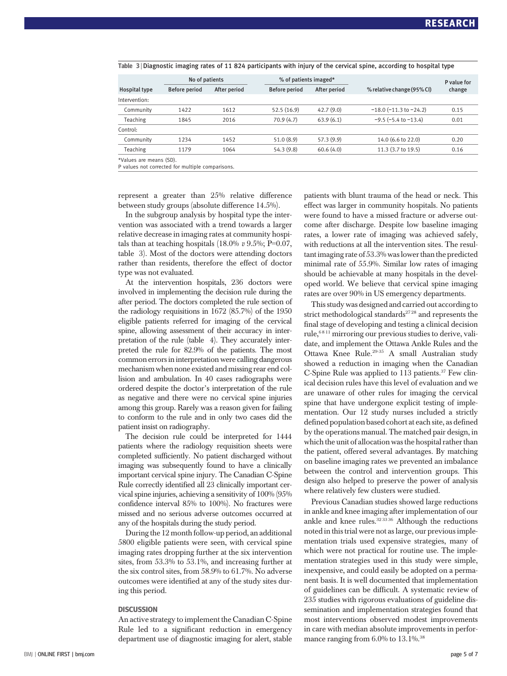|                         | No of patients |              | % of patients imaged* |              |                                | P value for |
|-------------------------|----------------|--------------|-----------------------|--------------|--------------------------------|-------------|
| <b>Hospital type</b>    | Before period  | After period | Before period         | After period | % relative change (95% CI)     | change      |
| Intervention:           |                |              |                       |              |                                |             |
| Community               | 1422           | 1612         | 52.5(16.9)            | 42.7(9.0)    | $-18.0$ ( $-11.3$ to $-24.2$ ) | 0.15        |
| <b>Teaching</b>         | 1845           | 2016         | 70.9(4.7)             | 63.9(6.1)    | $-9.5$ ( $-5.4$ to $-13.4$ )   | 0.01        |
| Control:                |                |              |                       |              |                                |             |
| Community               | 1234           | 1452         | 51.0(8.9)             | 57.3(9.9)    | 14.0 (6.6 to 22.0)             | 0.20        |
| Teaching                | 1179           | 1064         | 54.3 (9.8)            | 60.6(4.0)    | 11.3 (3.7 to 19.5)             | 0.16        |
| *Values are means (SD). |                |              |                       |              |                                |             |

#### Table 3 <sup>|</sup> Diagnostic imaging rates of 11 824 participants with injury of the cervical spine, according to hospital type

\*Values are means (SD). P values not corrected for multiple comparisons.

represent a greater than 25% relative difference between study groups (absolute difference 14.5%).

In the subgroup analysis by hospital type the intervention was associated with a trend towards a larger relative decrease in imaging rates at community hospitals than at teaching hospitals  $(18.0\% \text{ v } 9.5\%;$  P=0.07, table 3). Most of the doctors were attending doctors rather than residents, therefore the effect of doctor type was not evaluated.

At the intervention hospitals, 236 doctors were involved in implementing the decision rule during the after period. The doctors completed the rule section of the radiology requisitions in 1672 (85.7%) of the 1950 eligible patients referred for imaging of the cervical spine, allowing assessment of their accuracy in interpretation of the rule (table 4). They accurately interpreted the rule for 82.9% of the patients. The most common errors in interpretation were calling dangerous mechanism when none existed and missing rear end collision and ambulation. In 40 cases radiographs were ordered despite the doctor's interpretation of the rule as negative and there were no cervical spine injuries among this group. Rarely was a reason given for failing to conform to the rule and in only two cases did the patient insist on radiography.

The decision rule could be interpreted for 1444 patients where the radiology requisition sheets were completed sufficiently. No patient discharged without imaging was subsequently found to have a clinically important cervical spine injury. The Canadian C-Spine Rule correctly identified all 23 clinically important cervical spine injuries, achieving a sensitivity of 100% (95% confidence interval 85% to 100%). No fractures were missed and no serious adverse outcomes occurred at any of the hospitals during the study period.

During the 12 month follow-up period, an additional 5800 eligible patients were seen, with cervical spine imaging rates dropping further at the six intervention sites, from 53.3% to 53.1%, and increasing further at the six control sites, from 58.9% to 61.7%. No adverse outcomes were identified at any of the study sites during this period.

#### **DISCUSSION**

An active strategy to implement the Canadian C-Spine Rule led to a significant reduction in emergency department use of diagnostic imaging for alert, stable patients with blunt trauma of the head or neck. This effect was larger in community hospitals. No patients were found to have a missed fracture or adverse outcome after discharge. Despite low baseline imaging rates, a lower rate of imaging was achieved safely, with reductions at all the intervention sites. The resultant imaging rate of 53.3% was lower than the predicted minimal rate of 55.9%. Similar low rates of imaging should be achievable at many hospitals in the developed world. We believe that cervical spine imaging rates are over 90% in US emergency departments.

This study was designed and carried out according to strict methodological standards<sup>2728</sup> and represents the final stage of developing and testing a clinical decision rule,  $6811$  mirroring our previous studies to derive, validate, and implement the Ottawa Ankle Rules and the Ottawa Knee Rule.29-35 A small Australian study showed a reduction in imaging when the Canadian C-Spine Rule was applied to 113 patients.37 Few clinical decision rules have this level of evaluation and we are unaware of other rules for imaging the cervical spine that have undergone explicit testing of implementation. Our 12 study nurses included a strictly defined population based cohort at each site, as defined by the operations manual. The matched pair design, in which the unit of allocation was the hospital rather than the patient, offered several advantages. By matching on baseline imaging rates we prevented an imbalance between the control and intervention groups. This design also helped to preserve the power of analysis where relatively few clusters were studied.

Previous Canadian studies showed large reductions in ankle and knee imaging after implementation of our ankle and knee rules.<sup>3233</sup> 36 Although the reductions noted in this trial were not as large, our previous implementation trials used expensive strategies, many of which were not practical for routine use. The implementation strategies used in this study were simple, inexpensive, and could easily be adopted on a permanent basis. It is well documented that implementation of guidelines can be difficult. A systematic review of 235 studies with rigorous evaluations of guideline dissemination and implementation strategies found that most interventions observed modest improvements in care with median absolute improvements in performance ranging from 6.0% to 13.1%.<sup>38</sup>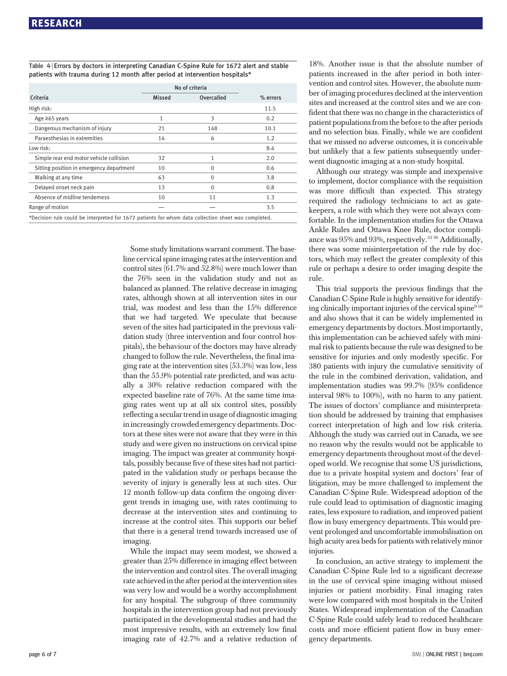Table 4 <sup>|</sup> Errors by doctors in interpreting Canadian C-Spine Rule for 1672 alert and stable patients with trauma during 12 month after period at intervention hospitals\*

|                                          | No of criteria |            |          |
|------------------------------------------|----------------|------------|----------|
| Criteria                                 | <b>Missed</b>  | Overcalled | % errors |
| High risk:                               |                |            | 11.5     |
| Age $\geq 65$ years                      | 1              | 3          | 0.2      |
| Dangerous mechanism of injury            | 21             | 148        | 10.1     |
| Paraesthesias in extremities             | 14             | 6          | 1.2      |
| Low risk:                                |                |            | 8.4      |
| Simple rear end motor vehicle collision  | 32             | 1          | 2.0      |
| Sitting position in emergency department | 10             | $\Omega$   | 0.6      |
| Walking at any time                      | 63             | 0          | 3.8      |
| Delayed onset neck pain                  | 13             | $\Omega$   | 0.8      |
| Absence of midline tenderness            | 10             | 11         | 1.3      |
| Range of motion                          |                |            | 3.5      |

Some study limitations warrant comment. The baseline cervical spine imaging rates at the intervention and control sites (61.7% and 52.8%) were much lower than the 76% seen in the validation study and not as balanced as planned. The relative decrease in imaging rates, although shown at all intervention sites in our trial, was modest and less than the 15% difference that we had targeted. We speculate that because seven of the sites had participated in the previous validation study (three intervention and four control hospitals), the behaviour of the doctors may have already changed to follow the rule. Nevertheless, the final imaging rate at the intervention sites (53.3%) was low, less than the 55.9% potential rate predicted, and was actually a 30% relative reduction compared with the expected baseline rate of 76%. At the same time imaging rates went up at all six control sites, possibly reflecting a secular trend in usage of diagnostic imaging in increasingly crowded emergency departments. Doctors at these sites were not aware that they were in this study and were given no instructions on cervical spine imaging. The impact was greater at community hospitals, possibly because five of these sites had not participated in the validation study or perhaps because the severity of injury is generally less at such sites. Our 12 month follow-up data confirm the ongoing divergent trends in imaging use, with rates continuing to decrease at the intervention sites and continuing to increase at the control sites. This supports our belief that there is a general trend towards increased use of imaging.

While the impact may seem modest, we showed a greater than 25% difference in imaging effect between the intervention and control sites. The overall imaging rate achieved in the after period at the intervention sites was very low and would be a worthy accomplishment for any hospital. The subgroup of three community hospitals in the intervention group had not previously participated in the developmental studies and had the most impressive results, with an extremely low final imaging rate of 42.7% and a relative reduction of 18%. Another issue is that the absolute number of patients increased in the after period in both intervention and control sites. However, the absolute number of imaging procedures declined at the intervention sites and increased at the control sites and we are confident that there was no change in the characteristics of patient populations from the before to the after periods and no selection bias. Finally, while we are confident that we missed no adverse outcomes, it is conceivable but unlikely that a few patients subsequently underwent diagnostic imaging at a non-study hospital.

Although our strategy was simple and inexpensive to implement, doctor compliance with the requisition was more difficult than expected. This strategy required the radiology technicians to act as gatekeepers, a role with which they were not always comfortable. In the implementation studies for the Ottawa Ankle Rules and Ottawa Knee Rule, doctor compliance was 95% and 93%, respectively.<sup>3336</sup> Additionally, there was some misinterpretation of the rule by doctors, which may reflect the greater complexity of this rule or perhaps a desire to order imaging despite the rule.

This trial supports the previous findings that the Canadian C-Spine Rule is highly sensitive for identifying clinically important injuries of the cervical spine $910$ and also shows that it can be widely implemented in emergency departments by doctors. Most importantly, this implementation can be achieved safely with minimal risk to patients because the rule was designed to be sensitive for injuries and only modestly specific. For 380 patients with injury the cumulative sensitivity of the rule in the combined derivation, validation, and implementation studies was 99.7% (95% confidence interval 98% to 100%), with no harm to any patient. The issues of doctors' compliance and misinterpretation should be addressed by training that emphasises correct interpretation of high and low risk criteria. Although the study was carried out in Canada, we see no reason why the results would not be applicable to emergency departments throughout most of the developed world. We recognise that some US jurisdictions, due to a private hospital system and doctors' fear of litigation, may be more challenged to implement the Canadian C-Spine Rule. Widespread adoption of the rule could lead to optimisation of diagnostic imaging rates, less exposure to radiation, and improved patient flow in busy emergency departments. This would prevent prolonged and uncomfortable immobilisation on high acuity area beds for patients with relatively minor injuries.

In conclusion, an active strategy to implement the Canadian C-Spine Rule led to a significant decrease in the use of cervical spine imaging without missed injuries or patient morbidity. Final imaging rates were low compared with most hospitals in the United States. Widespread implementation of the Canadian C-Spine Rule could safely lead to reduced healthcare costs and more efficient patient flow in busy emergency departments.